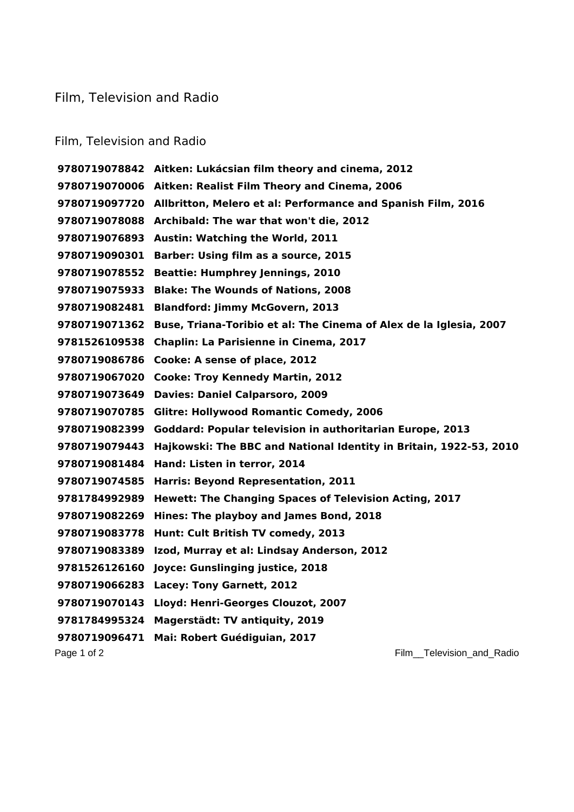## Film, Television and Radio

## Film, Television and Radio

Page 1 of 2 **Film\_Television\_and\_Radio Aitken: Lukácsian film theory and cinema, 2012 Aitken: Realist Film Theory and Cinema, 2006 Allbritton, Melero et al: Performance and Spanish Film, 2016 Archibald: The war that won't die, 2012 Austin: Watching the World, 2011 Barber: Using film as a source, 2015 Beattie: Humphrey Jennings, 2010 Blake: The Wounds of Nations, 2008 Blandford: Jimmy McGovern, 2013 Buse, Triana-Toribio et al: The Cinema of Alex de la Iglesia, 2007 Chaplin: La Parisienne in Cinema, 2017 Cooke: A sense of place, 2012 Cooke: Troy Kennedy Martin, 2012 Davies: Daniel Calparsoro, 2009 Glitre: Hollywood Romantic Comedy, 2006 Goddard: Popular television in authoritarian Europe, 2013 Hajkowski: The BBC and National Identity in Britain, 1922-53, 2010 Hand: Listen in terror, 2014 Harris: Beyond Representation, 2011 Hewett: The Changing Spaces of Television Acting, 2017 Hines: The playboy and James Bond, 2018 Hunt: Cult British TV comedy, 2013 Izod, Murray et al: Lindsay Anderson, 2012 Joyce: Gunslinging justice, 2018 Lacey: Tony Garnett, 2012 Lloyd: Henri-Georges Clouzot, 2007 Magerstädt: TV antiquity, 2019 Mai: Robert Guédiguian, 2017**